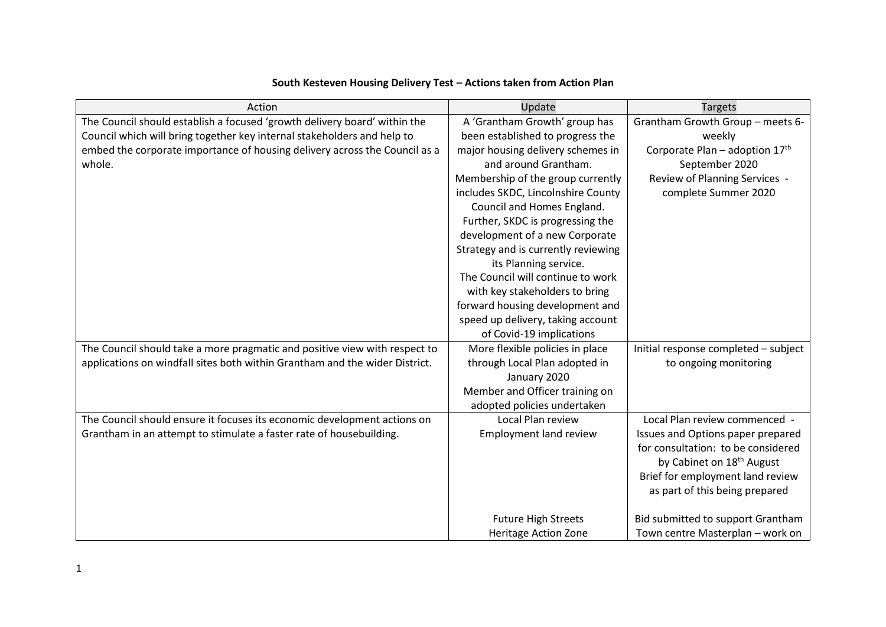| Action                                                                      | Update                              | <b>Targets</b>                             |
|-----------------------------------------------------------------------------|-------------------------------------|--------------------------------------------|
| The Council should establish a focused 'growth delivery board' within the   | A 'Grantham Growth' group has       | Grantham Growth Group - meets 6-           |
| Council which will bring together key internal stakeholders and help to     | been established to progress the    | weekly                                     |
| embed the corporate importance of housing delivery across the Council as a  | major housing delivery schemes in   | Corporate Plan - adoption 17 <sup>th</sup> |
| whole.                                                                      | and around Grantham.                | September 2020                             |
|                                                                             | Membership of the group currently   | Review of Planning Services -              |
|                                                                             | includes SKDC, Lincolnshire County  | complete Summer 2020                       |
|                                                                             | Council and Homes England.          |                                            |
|                                                                             | Further, SKDC is progressing the    |                                            |
|                                                                             | development of a new Corporate      |                                            |
|                                                                             | Strategy and is currently reviewing |                                            |
|                                                                             | its Planning service.               |                                            |
|                                                                             | The Council will continue to work   |                                            |
|                                                                             | with key stakeholders to bring      |                                            |
|                                                                             | forward housing development and     |                                            |
|                                                                             | speed up delivery, taking account   |                                            |
|                                                                             | of Covid-19 implications            |                                            |
| The Council should take a more pragmatic and positive view with respect to  | More flexible policies in place     | Initial response completed - subject       |
| applications on windfall sites both within Grantham and the wider District. | through Local Plan adopted in       | to ongoing monitoring                      |
|                                                                             | January 2020                        |                                            |
|                                                                             | Member and Officer training on      |                                            |
|                                                                             | adopted policies undertaken         |                                            |
| The Council should ensure it focuses its economic development actions on    | Local Plan review                   | Local Plan review commenced -              |
| Grantham in an attempt to stimulate a faster rate of housebuilding.         | <b>Employment land review</b>       | Issues and Options paper prepared          |
|                                                                             |                                     | for consultation: to be considered         |
|                                                                             |                                     | by Cabinet on 18 <sup>th</sup> August      |
|                                                                             |                                     | Brief for employment land review           |
|                                                                             |                                     | as part of this being prepared             |
|                                                                             | <b>Future High Streets</b>          | Bid submitted to support Grantham          |
|                                                                             | <b>Heritage Action Zone</b>         | Town centre Masterplan - work on           |

## **South Kesteven Housing Delivery Test – Actions taken from Action Plan**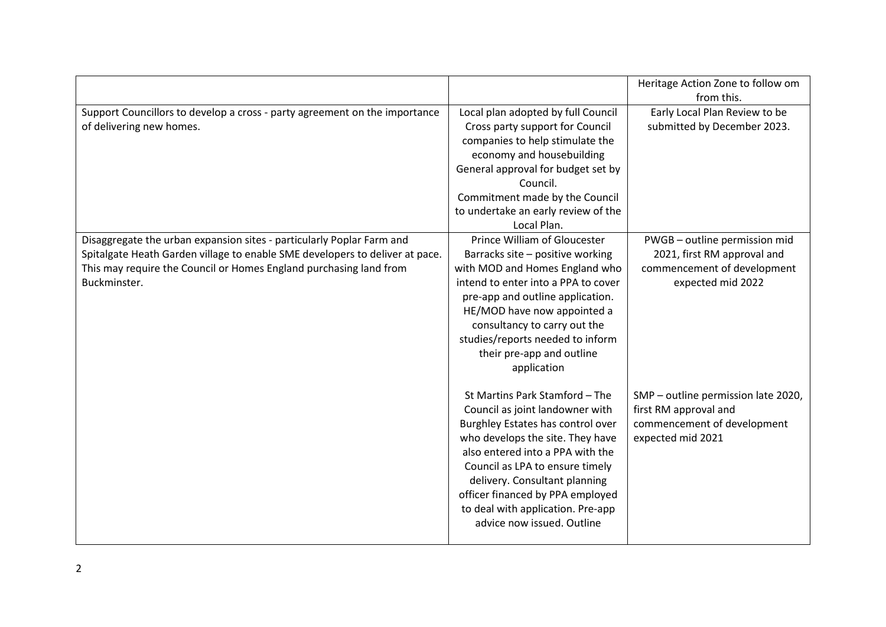|                                                                              |                                     | Heritage Action Zone to follow om   |
|------------------------------------------------------------------------------|-------------------------------------|-------------------------------------|
|                                                                              |                                     | from this.                          |
| Support Councillors to develop a cross - party agreement on the importance   | Local plan adopted by full Council  | Early Local Plan Review to be       |
| of delivering new homes.                                                     | Cross party support for Council     | submitted by December 2023.         |
|                                                                              | companies to help stimulate the     |                                     |
|                                                                              | economy and housebuilding           |                                     |
|                                                                              | General approval for budget set by  |                                     |
|                                                                              | Council.                            |                                     |
|                                                                              | Commitment made by the Council      |                                     |
|                                                                              | to undertake an early review of the |                                     |
|                                                                              | Local Plan.                         |                                     |
| Disaggregate the urban expansion sites - particularly Poplar Farm and        | <b>Prince William of Gloucester</b> | PWGB - outline permission mid       |
| Spitalgate Heath Garden village to enable SME developers to deliver at pace. | Barracks site - positive working    | 2021, first RM approval and         |
| This may require the Council or Homes England purchasing land from           | with MOD and Homes England who      | commencement of development         |
| Buckminster.                                                                 | intend to enter into a PPA to cover | expected mid 2022                   |
|                                                                              | pre-app and outline application.    |                                     |
|                                                                              | HE/MOD have now appointed a         |                                     |
|                                                                              | consultancy to carry out the        |                                     |
|                                                                              | studies/reports needed to inform    |                                     |
|                                                                              | their pre-app and outline           |                                     |
|                                                                              | application                         |                                     |
|                                                                              |                                     |                                     |
|                                                                              | St Martins Park Stamford - The      | SMP - outline permission late 2020, |
|                                                                              | Council as joint landowner with     | first RM approval and               |
|                                                                              | Burghley Estates has control over   | commencement of development         |
|                                                                              | who develops the site. They have    | expected mid 2021                   |
|                                                                              | also entered into a PPA with the    |                                     |
|                                                                              | Council as LPA to ensure timely     |                                     |
|                                                                              | delivery. Consultant planning       |                                     |
|                                                                              | officer financed by PPA employed    |                                     |
|                                                                              | to deal with application. Pre-app   |                                     |
|                                                                              | advice now issued. Outline          |                                     |
|                                                                              |                                     |                                     |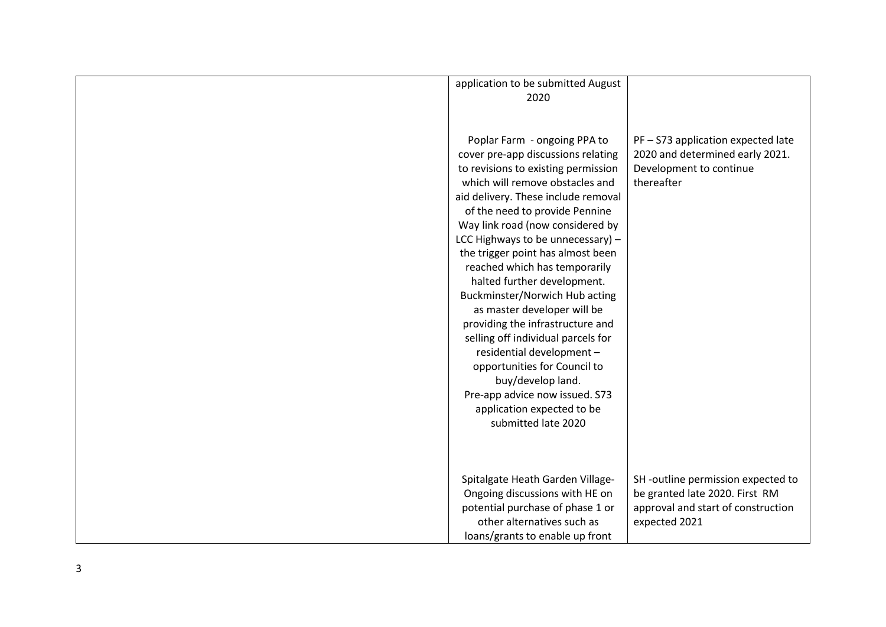| application to be submitted August  |                                    |
|-------------------------------------|------------------------------------|
| 2020                                |                                    |
|                                     |                                    |
|                                     |                                    |
| Poplar Farm - ongoing PPA to        | PF-S73 application expected late   |
| cover pre-app discussions relating  | 2020 and determined early 2021.    |
| to revisions to existing permission | Development to continue            |
| which will remove obstacles and     | thereafter                         |
| aid delivery. These include removal |                                    |
| of the need to provide Pennine      |                                    |
| Way link road (now considered by    |                                    |
| LCC Highways to be unnecessary) -   |                                    |
| the trigger point has almost been   |                                    |
| reached which has temporarily       |                                    |
| halted further development.         |                                    |
| Buckminster/Norwich Hub acting      |                                    |
| as master developer will be         |                                    |
| providing the infrastructure and    |                                    |
| selling off individual parcels for  |                                    |
| residential development -           |                                    |
| opportunities for Council to        |                                    |
| buy/develop land.                   |                                    |
| Pre-app advice now issued. S73      |                                    |
| application expected to be          |                                    |
| submitted late 2020                 |                                    |
|                                     |                                    |
|                                     |                                    |
|                                     |                                    |
| Spitalgate Heath Garden Village-    | SH-outline permission expected to  |
| Ongoing discussions with HE on      | be granted late 2020. First RM     |
| potential purchase of phase 1 or    | approval and start of construction |
| other alternatives such as          | expected 2021                      |
| loans/grants to enable up front     |                                    |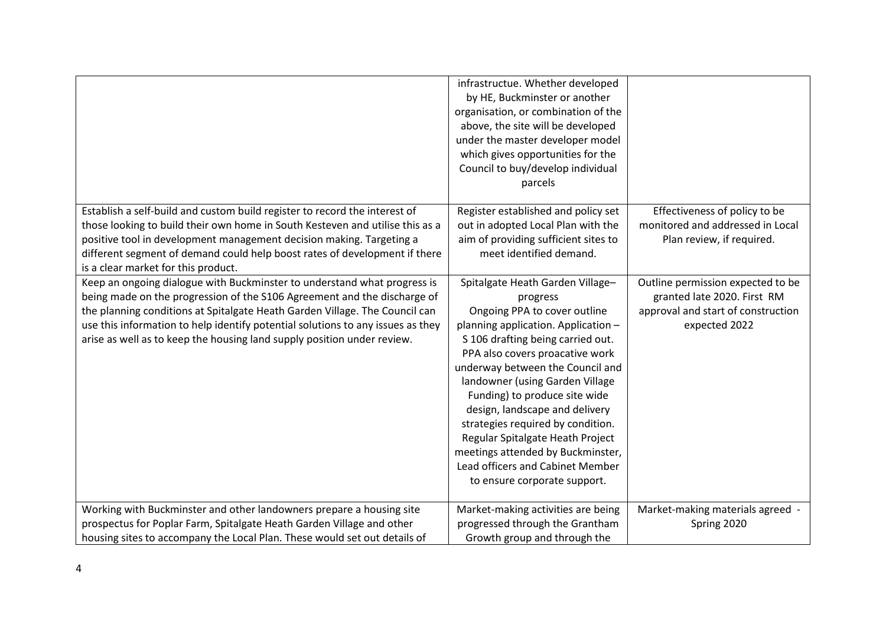|                                                                                                                                                                                                                                                                                                                                                                                                   | infrastructue. Whether developed<br>by HE, Buckminster or another<br>organisation, or combination of the<br>above, the site will be developed<br>under the master developer model<br>which gives opportunities for the<br>Council to buy/develop individual<br>parcels                                                                                                                                                                                                                                                  |                                                                                                                         |
|---------------------------------------------------------------------------------------------------------------------------------------------------------------------------------------------------------------------------------------------------------------------------------------------------------------------------------------------------------------------------------------------------|-------------------------------------------------------------------------------------------------------------------------------------------------------------------------------------------------------------------------------------------------------------------------------------------------------------------------------------------------------------------------------------------------------------------------------------------------------------------------------------------------------------------------|-------------------------------------------------------------------------------------------------------------------------|
| Establish a self-build and custom build register to record the interest of<br>those looking to build their own home in South Kesteven and utilise this as a<br>positive tool in development management decision making. Targeting a<br>different segment of demand could help boost rates of development if there<br>is a clear market for this product.                                          | Register established and policy set<br>out in adopted Local Plan with the<br>aim of providing sufficient sites to<br>meet identified demand.                                                                                                                                                                                                                                                                                                                                                                            | Effectiveness of policy to be<br>monitored and addressed in Local<br>Plan review, if required.                          |
| Keep an ongoing dialogue with Buckminster to understand what progress is<br>being made on the progression of the S106 Agreement and the discharge of<br>the planning conditions at Spitalgate Heath Garden Village. The Council can<br>use this information to help identify potential solutions to any issues as they<br>arise as well as to keep the housing land supply position under review. | Spitalgate Heath Garden Village-<br>progress<br>Ongoing PPA to cover outline<br>planning application. Application -<br>S 106 drafting being carried out.<br>PPA also covers proacative work<br>underway between the Council and<br>landowner (using Garden Village<br>Funding) to produce site wide<br>design, landscape and delivery<br>strategies required by condition.<br>Regular Spitalgate Heath Project<br>meetings attended by Buckminster,<br>Lead officers and Cabinet Member<br>to ensure corporate support. | Outline permission expected to be<br>granted late 2020. First RM<br>approval and start of construction<br>expected 2022 |
| Working with Buckminster and other landowners prepare a housing site<br>prospectus for Poplar Farm, Spitalgate Heath Garden Village and other<br>housing sites to accompany the Local Plan. These would set out details of                                                                                                                                                                        | Market-making activities are being<br>progressed through the Grantham<br>Growth group and through the                                                                                                                                                                                                                                                                                                                                                                                                                   | Market-making materials agreed -<br>Spring 2020                                                                         |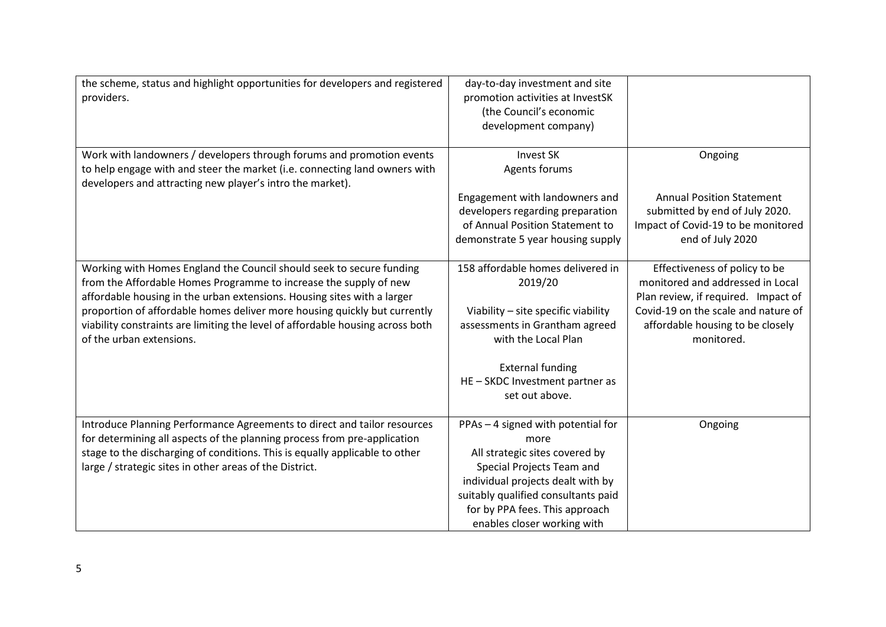| the scheme, status and highlight opportunities for developers and registered<br>providers.                                                                                                                                                                                                                                                                                                                      | day-to-day investment and site<br>promotion activities at InvestSK<br>(the Council's economic<br>development company)                                                                                                                                  |                                                                                                                                                                                                   |
|-----------------------------------------------------------------------------------------------------------------------------------------------------------------------------------------------------------------------------------------------------------------------------------------------------------------------------------------------------------------------------------------------------------------|--------------------------------------------------------------------------------------------------------------------------------------------------------------------------------------------------------------------------------------------------------|---------------------------------------------------------------------------------------------------------------------------------------------------------------------------------------------------|
| Work with landowners / developers through forums and promotion events<br>to help engage with and steer the market (i.e. connecting land owners with<br>developers and attracting new player's intro the market).                                                                                                                                                                                                | <b>Invest SK</b><br>Agents forums<br>Engagement with landowners and<br>developers regarding preparation<br>of Annual Position Statement to<br>demonstrate 5 year housing supply                                                                        | Ongoing<br><b>Annual Position Statement</b><br>submitted by end of July 2020.<br>Impact of Covid-19 to be monitored<br>end of July 2020                                                           |
| Working with Homes England the Council should seek to secure funding<br>from the Affordable Homes Programme to increase the supply of new<br>affordable housing in the urban extensions. Housing sites with a larger<br>proportion of affordable homes deliver more housing quickly but currently<br>viability constraints are limiting the level of affordable housing across both<br>of the urban extensions. | 158 affordable homes delivered in<br>2019/20<br>Viability - site specific viability<br>assessments in Grantham agreed<br>with the Local Plan<br><b>External funding</b><br>HE - SKDC Investment partner as<br>set out above.                           | Effectiveness of policy to be<br>monitored and addressed in Local<br>Plan review, if required. Impact of<br>Covid-19 on the scale and nature of<br>affordable housing to be closely<br>monitored. |
| Introduce Planning Performance Agreements to direct and tailor resources<br>for determining all aspects of the planning process from pre-application<br>stage to the discharging of conditions. This is equally applicable to other<br>large / strategic sites in other areas of the District.                                                                                                                  | PPAs - 4 signed with potential for<br>more<br>All strategic sites covered by<br>Special Projects Team and<br>individual projects dealt with by<br>suitably qualified consultants paid<br>for by PPA fees. This approach<br>enables closer working with | Ongoing                                                                                                                                                                                           |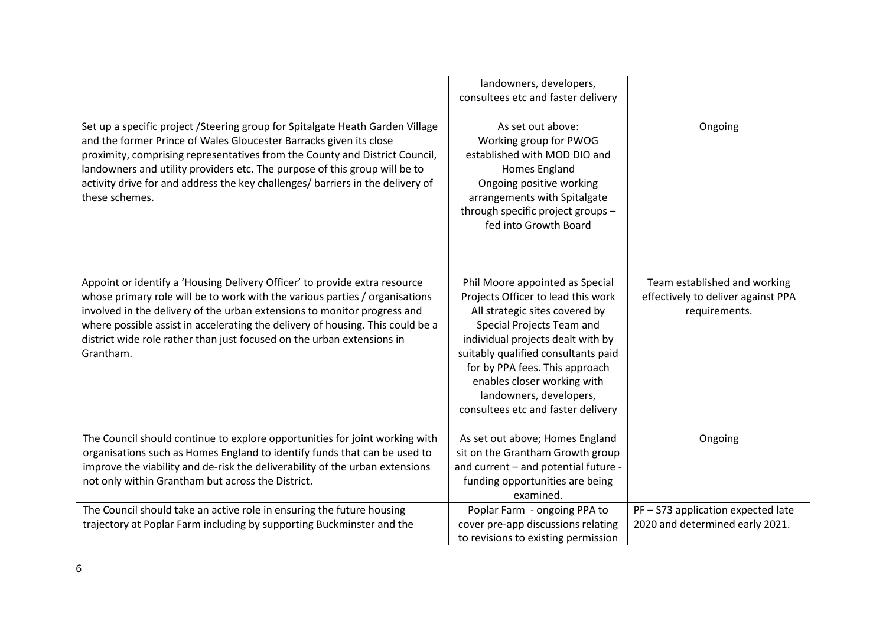|                                                                                                                                                                                                                                                                                                                                                                                                                       | landowners, developers,<br>consultees etc and faster delivery                                                                                                                                                                                                                                                                                      |                                                                                     |
|-----------------------------------------------------------------------------------------------------------------------------------------------------------------------------------------------------------------------------------------------------------------------------------------------------------------------------------------------------------------------------------------------------------------------|----------------------------------------------------------------------------------------------------------------------------------------------------------------------------------------------------------------------------------------------------------------------------------------------------------------------------------------------------|-------------------------------------------------------------------------------------|
| Set up a specific project / Steering group for Spitalgate Heath Garden Village<br>and the former Prince of Wales Gloucester Barracks given its close<br>proximity, comprising representatives from the County and District Council,<br>landowners and utility providers etc. The purpose of this group will be to<br>activity drive for and address the key challenges/ barriers in the delivery of<br>these schemes. | As set out above:<br>Working group for PWOG<br>established with MOD DIO and<br>Homes England<br>Ongoing positive working<br>arrangements with Spitalgate<br>through specific project groups -<br>fed into Growth Board                                                                                                                             | Ongoing                                                                             |
| Appoint or identify a 'Housing Delivery Officer' to provide extra resource<br>whose primary role will be to work with the various parties / organisations<br>involved in the delivery of the urban extensions to monitor progress and<br>where possible assist in accelerating the delivery of housing. This could be a<br>district wide role rather than just focused on the urban extensions in<br>Grantham.        | Phil Moore appointed as Special<br>Projects Officer to lead this work<br>All strategic sites covered by<br>Special Projects Team and<br>individual projects dealt with by<br>suitably qualified consultants paid<br>for by PPA fees. This approach<br>enables closer working with<br>landowners, developers,<br>consultees etc and faster delivery | Team established and working<br>effectively to deliver against PPA<br>requirements. |
| The Council should continue to explore opportunities for joint working with<br>organisations such as Homes England to identify funds that can be used to<br>improve the viability and de-risk the deliverability of the urban extensions<br>not only within Grantham but across the District.                                                                                                                         | As set out above; Homes England<br>sit on the Grantham Growth group<br>and current - and potential future -<br>funding opportunities are being<br>examined.                                                                                                                                                                                        | Ongoing                                                                             |
| The Council should take an active role in ensuring the future housing<br>trajectory at Poplar Farm including by supporting Buckminster and the                                                                                                                                                                                                                                                                        | Poplar Farm - ongoing PPA to<br>cover pre-app discussions relating<br>to revisions to existing permission                                                                                                                                                                                                                                          | PF-S73 application expected late<br>2020 and determined early 2021.                 |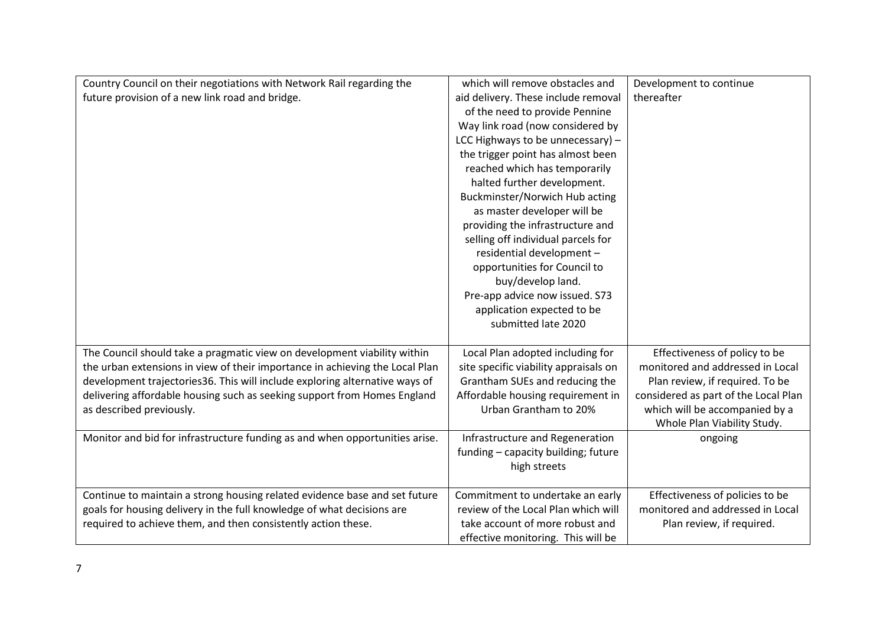| Country Council on their negotiations with Network Rail regarding the        | which will remove obstacles and       | Development to continue              |
|------------------------------------------------------------------------------|---------------------------------------|--------------------------------------|
| future provision of a new link road and bridge.                              | aid delivery. These include removal   | thereafter                           |
|                                                                              | of the need to provide Pennine        |                                      |
|                                                                              | Way link road (now considered by      |                                      |
|                                                                              | LCC Highways to be unnecessary) $-$   |                                      |
|                                                                              | the trigger point has almost been     |                                      |
|                                                                              | reached which has temporarily         |                                      |
|                                                                              | halted further development.           |                                      |
|                                                                              | Buckminster/Norwich Hub acting        |                                      |
|                                                                              | as master developer will be           |                                      |
|                                                                              | providing the infrastructure and      |                                      |
|                                                                              | selling off individual parcels for    |                                      |
|                                                                              | residential development -             |                                      |
|                                                                              | opportunities for Council to          |                                      |
|                                                                              | buy/develop land.                     |                                      |
|                                                                              | Pre-app advice now issued. S73        |                                      |
|                                                                              | application expected to be            |                                      |
|                                                                              | submitted late 2020                   |                                      |
|                                                                              |                                       |                                      |
| The Council should take a pragmatic view on development viability within     | Local Plan adopted including for      | Effectiveness of policy to be        |
| the urban extensions in view of their importance in achieving the Local Plan | site specific viability appraisals on | monitored and addressed in Local     |
| development trajectories36. This will include exploring alternative ways of  | Grantham SUEs and reducing the        | Plan review, if required. To be      |
| delivering affordable housing such as seeking support from Homes England     | Affordable housing requirement in     | considered as part of the Local Plan |
| as described previously.                                                     | Urban Grantham to 20%                 | which will be accompanied by a       |
|                                                                              |                                       | Whole Plan Viability Study.          |
| Monitor and bid for infrastructure funding as and when opportunities arise.  | Infrastructure and Regeneration       | ongoing                              |
|                                                                              | funding - capacity building; future   |                                      |
|                                                                              | high streets                          |                                      |
|                                                                              |                                       |                                      |
| Continue to maintain a strong housing related evidence base and set future   | Commitment to undertake an early      | Effectiveness of policies to be      |
| goals for housing delivery in the full knowledge of what decisions are       | review of the Local Plan which will   | monitored and addressed in Local     |
| required to achieve them, and then consistently action these.                | take account of more robust and       | Plan review, if required.            |
|                                                                              | effective monitoring. This will be    |                                      |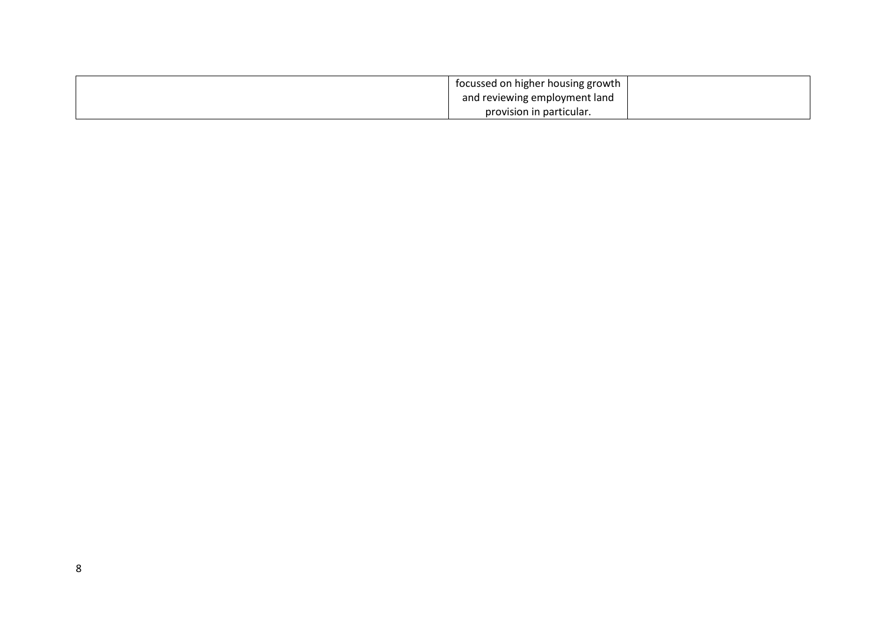| focussed on higher housing growth |  |
|-----------------------------------|--|
| and reviewing employment land     |  |
| provision in particular.          |  |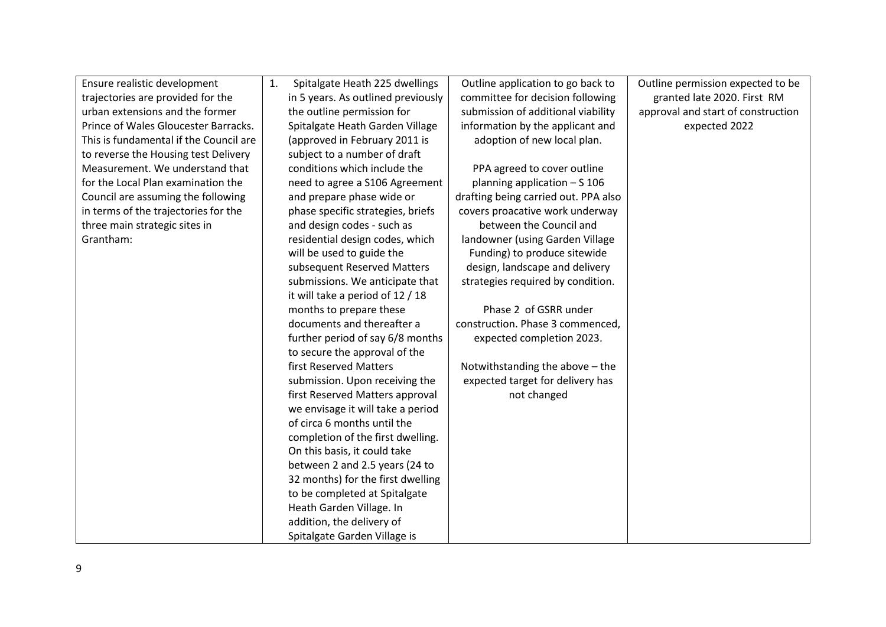| Ensure realistic development           | 1. | Spitalgate Heath 225 dwellings     | Outline application to go back to    | Outline permission expected to be  |
|----------------------------------------|----|------------------------------------|--------------------------------------|------------------------------------|
| trajectories are provided for the      |    | in 5 years. As outlined previously | committee for decision following     | granted late 2020. First RM        |
| urban extensions and the former        |    | the outline permission for         | submission of additional viability   | approval and start of construction |
| Prince of Wales Gloucester Barracks.   |    | Spitalgate Heath Garden Village    | information by the applicant and     | expected 2022                      |
| This is fundamental if the Council are |    | (approved in February 2011 is      | adoption of new local plan.          |                                    |
| to reverse the Housing test Delivery   |    | subject to a number of draft       |                                      |                                    |
| Measurement. We understand that        |    | conditions which include the       | PPA agreed to cover outline          |                                    |
| for the Local Plan examination the     |    | need to agree a S106 Agreement     | planning application $-5106$         |                                    |
| Council are assuming the following     |    | and prepare phase wide or          | drafting being carried out. PPA also |                                    |
| in terms of the trajectories for the   |    | phase specific strategies, briefs  | covers proacative work underway      |                                    |
| three main strategic sites in          |    | and design codes - such as         | between the Council and              |                                    |
| Grantham:                              |    | residential design codes, which    | landowner (using Garden Village      |                                    |
|                                        |    | will be used to guide the          | Funding) to produce sitewide         |                                    |
|                                        |    | subsequent Reserved Matters        | design, landscape and delivery       |                                    |
|                                        |    | submissions. We anticipate that    | strategies required by condition.    |                                    |
|                                        |    | it will take a period of 12 / 18   |                                      |                                    |
|                                        |    | months to prepare these            | Phase 2 of GSRR under                |                                    |
|                                        |    | documents and thereafter a         | construction. Phase 3 commenced,     |                                    |
|                                        |    | further period of say 6/8 months   | expected completion 2023.            |                                    |
|                                        |    | to secure the approval of the      |                                      |                                    |
|                                        |    | first Reserved Matters             | Notwithstanding the above - the      |                                    |
|                                        |    | submission. Upon receiving the     | expected target for delivery has     |                                    |
|                                        |    | first Reserved Matters approval    | not changed                          |                                    |
|                                        |    | we envisage it will take a period  |                                      |                                    |
|                                        |    | of circa 6 months until the        |                                      |                                    |
|                                        |    | completion of the first dwelling.  |                                      |                                    |
|                                        |    | On this basis, it could take       |                                      |                                    |
|                                        |    | between 2 and 2.5 years (24 to     |                                      |                                    |
|                                        |    | 32 months) for the first dwelling  |                                      |                                    |
|                                        |    | to be completed at Spitalgate      |                                      |                                    |
|                                        |    | Heath Garden Village. In           |                                      |                                    |
|                                        |    | addition, the delivery of          |                                      |                                    |
|                                        |    | Spitalgate Garden Village is       |                                      |                                    |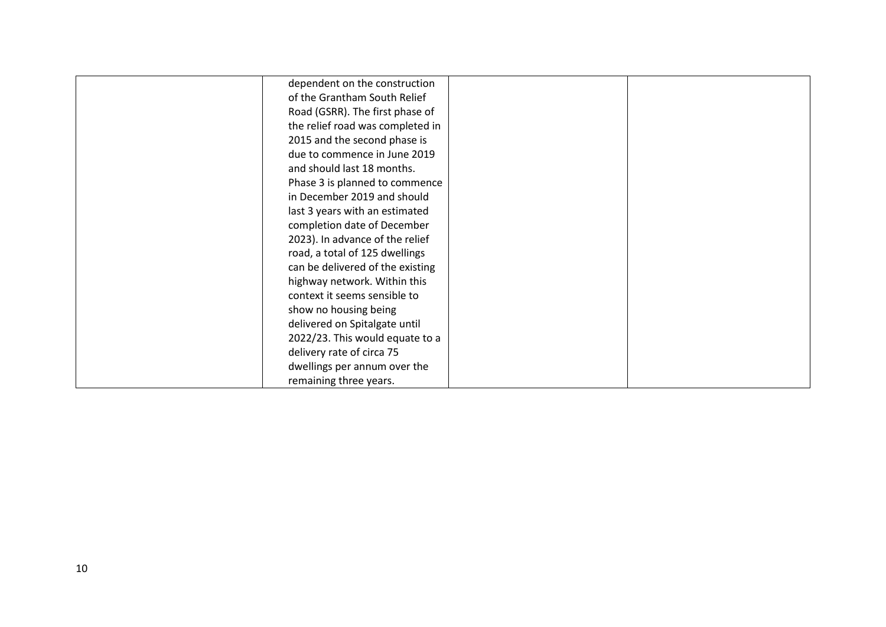| dependent on the construction    |  |
|----------------------------------|--|
| of the Grantham South Relief     |  |
|                                  |  |
| Road (GSRR). The first phase of  |  |
| the relief road was completed in |  |
| 2015 and the second phase is     |  |
| due to commence in June 2019     |  |
| and should last 18 months.       |  |
| Phase 3 is planned to commence   |  |
| in December 2019 and should      |  |
| last 3 years with an estimated   |  |
| completion date of December      |  |
| 2023). In advance of the relief  |  |
| road, a total of 125 dwellings   |  |
| can be delivered of the existing |  |
| highway network. Within this     |  |
| context it seems sensible to     |  |
| show no housing being            |  |
| delivered on Spitalgate until    |  |
| 2022/23. This would equate to a  |  |
| delivery rate of circa 75        |  |
| dwellings per annum over the     |  |
| remaining three years.           |  |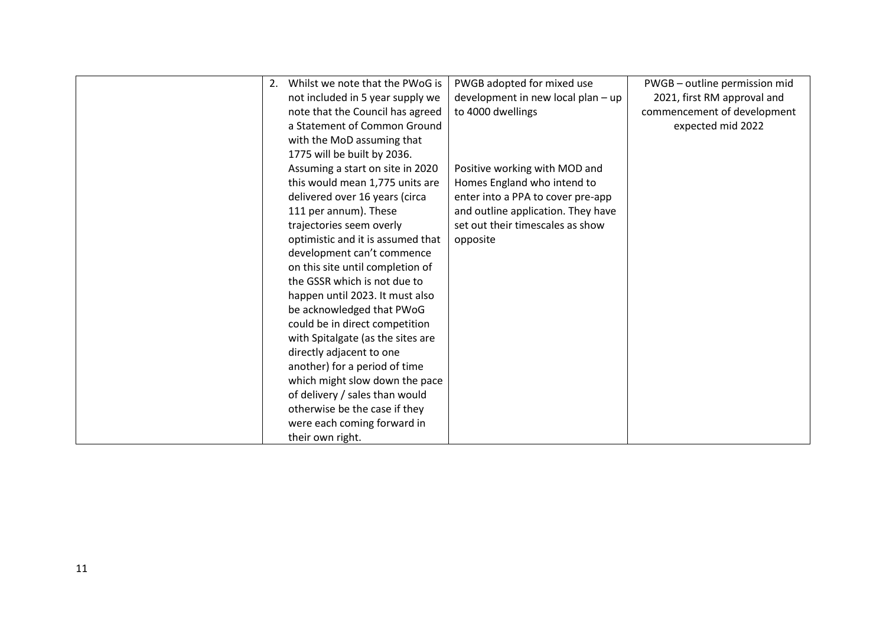| 2. | Whilst we note that the PWoG is   | PWGB adopted for mixed use         | PWGB - outline permission mid |
|----|-----------------------------------|------------------------------------|-------------------------------|
|    | not included in 5 year supply we  | development in new local plan - up | 2021, first RM approval and   |
|    | note that the Council has agreed  | to 4000 dwellings                  | commencement of development   |
|    | a Statement of Common Ground      |                                    | expected mid 2022             |
|    | with the MoD assuming that        |                                    |                               |
|    | 1775 will be built by 2036.       |                                    |                               |
|    | Assuming a start on site in 2020  | Positive working with MOD and      |                               |
|    | this would mean 1,775 units are   | Homes England who intend to        |                               |
|    | delivered over 16 years (circa    | enter into a PPA to cover pre-app  |                               |
|    | 111 per annum). These             | and outline application. They have |                               |
|    | trajectories seem overly          | set out their timescales as show   |                               |
|    | optimistic and it is assumed that | opposite                           |                               |
|    | development can't commence        |                                    |                               |
|    | on this site until completion of  |                                    |                               |
|    | the GSSR which is not due to      |                                    |                               |
|    | happen until 2023. It must also   |                                    |                               |
|    | be acknowledged that PWoG         |                                    |                               |
|    | could be in direct competition    |                                    |                               |
|    | with Spitalgate (as the sites are |                                    |                               |
|    | directly adjacent to one          |                                    |                               |
|    | another) for a period of time     |                                    |                               |
|    | which might slow down the pace    |                                    |                               |
|    | of delivery / sales than would    |                                    |                               |
|    | otherwise be the case if they     |                                    |                               |
|    | were each coming forward in       |                                    |                               |
|    | their own right.                  |                                    |                               |
|    |                                   |                                    |                               |